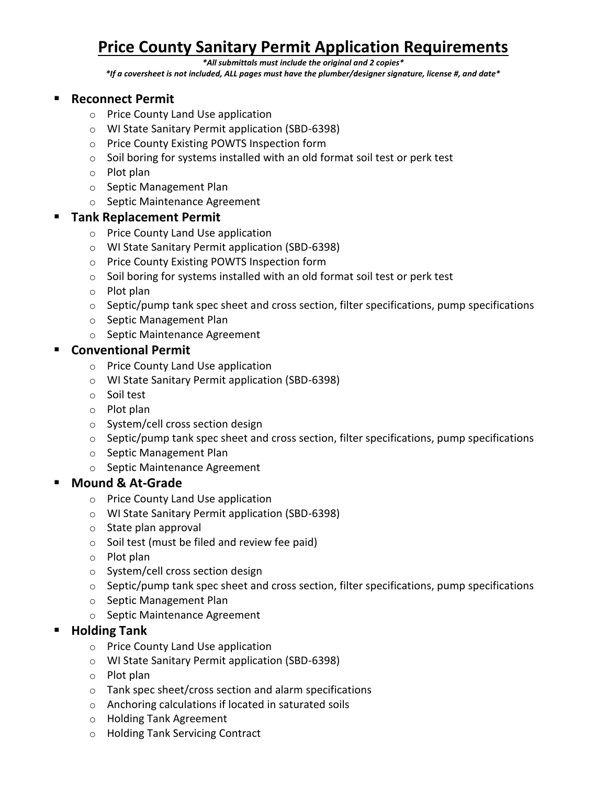# **Price County Sanitary Permit Application Requirements**

#### *\*All submittals must include the original and 2 copies\**

*\*If a coversheet is not included, ALL pages must have the plumber/designer signature, license #, and date\**

#### ▪ **Reconnect Permit**

- o Price County Land Use application
- o WI State Sanitary Permit application (SBD-6398)
- o Price County Existing POWTS Inspection form
- o Soil boring for systems installed with an old format soil test or perk test
- o Plot plan
- o Septic Management Plan
- o Septic Maintenance Agreement

#### **Tank Replacement Permit**

- o Price County Land Use application
- o WI State Sanitary Permit application (SBD-6398)
- o Price County Existing POWTS Inspection form
- o Soil boring for systems installed with an old format soil test or perk test
- o Plot plan
- o Septic/pump tank spec sheet and cross section, filter specifications, pump specifications
- o Septic Management Plan
- o Septic Maintenance Agreement

#### ▪ **Conventional Permit**

- o Price County Land Use application
- o WI State Sanitary Permit application (SBD-6398)
- o Soil test
- o Plot plan
- o System/cell cross section design
- $\circ$  Septic/pump tank spec sheet and cross section, filter specifications, pump specifications
- o Septic Management Plan
- o Septic Maintenance Agreement

#### **Mound & At-Grade**

- o Price County Land Use application
- o WI State Sanitary Permit application (SBD-6398)
- o State plan approval
- o Soil test (must be filed and review fee paid)
- o Plot plan
- o System/cell cross section design
- o Septic/pump tank spec sheet and cross section, filter specifications, pump specifications
- o Septic Management Plan
- o Septic Maintenance Agreement

#### **Holding Tank**

- o Price County Land Use application
- o WI State Sanitary Permit application (SBD-6398)
- o Plot plan
- o Tank spec sheet/cross section and alarm specifications
- o Anchoring calculations if located in saturated soils
- o Holding Tank Agreement
- o Holding Tank Servicing Contract